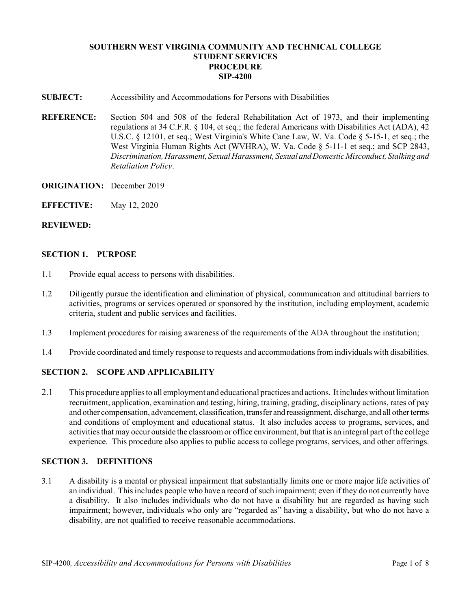# **SOUTHERN WEST VIRGINIA COMMUNITY AND TECHNICAL COLLEGE STUDENT SERVICES PROCEDURE SIP-4200**

- **SUBJECT:** Accessibility and Accommodations for Persons with Disabilities
- **REFERENCE:** Section 504 and 508 of the federal Rehabilitation Act of 1973, and their implementing regulations at 34 C.F.R. § 104, et seq.; the federal Americans with Disabilities Act (ADA), 42 U.S.C. § 12101, et seq.; West Virginia's White Cane Law, W. Va. Code § 5-15-1, et seq.; the West Virginia Human Rights Act (WVHRA), W. Va. Code § 5-11-1 et seq.; and SCP 2843, *Discrimination, Harassment, Sexual Harassment, Sexual and Domestic Misconduct, Stalking and Retaliation Policy*.
- **ORIGINATION:** December 2019
- **EFFECTIVE:** May 12, 2020

#### **REVIEWED:**

#### **SECTION 1. PURPOSE**

- 1.1 Provide equal access to persons with disabilities.
- 1.2 Diligently pursue the identification and elimination of physical, communication and attitudinal barriers to activities, programs or services operated or sponsored by the institution, including employment, academic criteria, student and public services and facilities.
- 1.3 Implement procedures for raising awareness of the requirements of the ADA throughout the institution;
- 1.4 Provide coordinated and timely response to requests and accommodations from individuals with disabilities.

## **SECTION 2. SCOPE AND APPLICABILITY**

2.1 This procedure applies to all employment and educational practices and actions. It includes without limitation recruitment, application, examination and testing, hiring, training, grading, disciplinary actions, rates of pay and other compensation, advancement, classification, transfer and reassignment, discharge, and all other terms and conditions of employment and educational status. It also includes access to programs, services, and activities that may occur outside the classroom or office environment, but that is an integral part of the college experience. This procedure also applies to public access to college programs, services, and other offerings.

## **SECTION 3. DEFINITIONS**

3.1 A disability is a mental or physical impairment that substantially limits one or more major life activities of an individual. This includes people who have a record of such impairment; even if they do not currently have a disability. It also includes individuals who do not have a disability but are regarded as having such impairment; however, individuals who only are "regarded as" having a disability, but who do not have a disability, are not qualified to receive reasonable accommodations.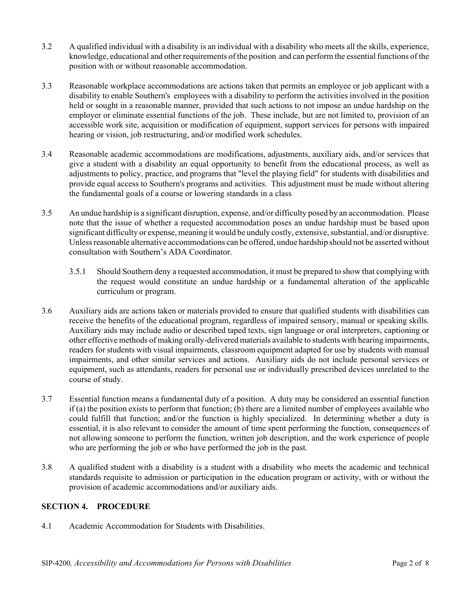- 3.2 A qualified individual with a disability is an individual with a disability who meets all the skills, experience, knowledge, educational and other requirements of the position and can perform the essential functions of the position with or without reasonable accommodation.
- 3.3 Reasonable workplace accommodations are actions taken that permits an employee or job applicant with a disability to enable Southern's employees with a disability to perform the activities involved in the position held or sought in a reasonable manner, provided that such actions to not impose an undue hardship on the employer or eliminate essential functions of the job. These include, but are not limited to, provision of an accessible work site, acquisition or modification of equipment, support services for persons with impaired hearing or vision, job restructuring, and/or modified work schedules.
- 3.4 Reasonable academic accommodations are modifications, adjustments, auxiliary aids, and/or services that give a student with a disability an equal opportunity to benefit from the educational process, as well as adjustments to policy, practice, and programs that "level the playing field" for students with disabilities and provide equal access to Southern's programs and activities. This adjustment must be made without altering the fundamental goals of a course or lowering standards in a class
- 3.5 An undue hardship is a significant disruption, expense, and/or difficulty posed by an accommodation. Please note that the issue of whether a requested accommodation poses an undue hardship must be based upon significant difficulty or expense, meaning it would be unduly costly, extensive, substantial, and/or disruptive. Unless reasonable alternative accommodations can be offered, undue hardship should not be asserted without consultation with Southern's ADA Coordinator.
	- 3.5.1 Should Southern deny a requested accommodation, it must be prepared to show that complying with the request would constitute an undue hardship or a fundamental alteration of the applicable curriculum or program.
- 3.6 Auxiliary aids are actions taken or materials provided to ensure that qualified students with disabilities can receive the benefits of the educational program, regardless of impaired sensory, manual or speaking skills. Auxiliary aids may include audio or described taped texts, sign language or oral interpreters, captioning or other effective methods of making orally-delivered materials available to students with hearing impairments, readers for students with visual impairments, classroom equipment adapted for use by students with manual impairments, and other similar services and actions. Auxiliary aids do not include personal services or equipment, such as attendants, readers for personal use or individually prescribed devices unrelated to the course of study.
- 3.7 Essential function means a fundamental duty of a position. A duty may be considered an essential function if (a) the position exists to perform that function; (b) there are a limited number of employees available who could fulfill that function; and/or the function is highly specialized. In determining whether a duty is essential, it is also relevant to consider the amount of time spent performing the function, consequences of not allowing someone to perform the function, written job description, and the work experience of people who are performing the job or who have performed the job in the past.
- 3.8 A qualified student with a disability is a student with a disability who meets the academic and technical standards requisite to admission or participation in the education program or activity, with or without the provision of academic accommodations and/or auxiliary aids.

## **SECTION 4. PROCEDURE**

4.1 Academic Accommodation for Students with Disabilities.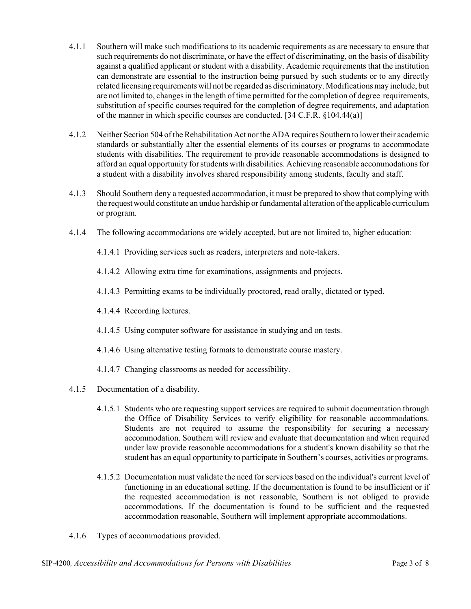- 4.1.1 Southern will make such modifications to its academic requirements as are necessary to ensure that such requirements do not discriminate, or have the effect of discriminating, on the basis of disability against a qualified applicant or student with a disability. Academic requirements that the institution can demonstrate are essential to the instruction being pursued by such students or to any directly related licensing requirements will not be regarded as discriminatory. Modifications may include, but are not limited to, changes in the length of time permitted for the completion of degree requirements, substitution of specific courses required for the completion of degree requirements, and adaptation of the manner in which specific courses are conducted. [34 C.F.R. §104.44(a)]
- 4.1.2 Neither Section 504 of the Rehabilitation Act nor the ADA requires Southern to lower their academic standards or substantially alter the essential elements of its courses or programs to accommodate students with disabilities. The requirement to provide reasonable accommodations is designed to afford an equal opportunity for students with disabilities. Achieving reasonable accommodations for a student with a disability involves shared responsibility among students, faculty and staff.
- 4.1.3 Should Southern deny a requested accommodation, it must be prepared to show that complying with the request would constitute an undue hardship or fundamental alteration of the applicable curriculum or program.
- 4.1.4 The following accommodations are widely accepted, but are not limited to, higher education:
	- 4.1.4.1 Providing services such as readers, interpreters and note-takers.
	- 4.1.4.2 Allowing extra time for examinations, assignments and projects.
	- 4.1.4.3 Permitting exams to be individually proctored, read orally, dictated or typed.
	- 4.1.4.4 Recording lectures.
	- 4.1.4.5 Using computer software for assistance in studying and on tests.
	- 4.1.4.6 Using alternative testing formats to demonstrate course mastery.
	- 4.1.4.7 Changing classrooms as needed for accessibility.
- 4.1.5 Documentation of a disability.
	- 4.1.5.1 Students who are requesting support services are required to submit documentation through the Office of Disability Services to verify eligibility for reasonable accommodations. Students are not required to assume the responsibility for securing a necessary accommodation. Southern will review and evaluate that documentation and when required under law provide reasonable accommodations for a student's known disability so that the student has an equal opportunity to participate in Southern's courses, activities or programs.
	- 4.1.5.2 Documentation must validate the need for services based on the individual's current level of functioning in an educational setting. If the documentation is found to be insufficient or if the requested accommodation is not reasonable, Southern is not obliged to provide accommodations. If the documentation is found to be sufficient and the requested accommodation reasonable, Southern will implement appropriate accommodations.
- 4.1.6 Types of accommodations provided.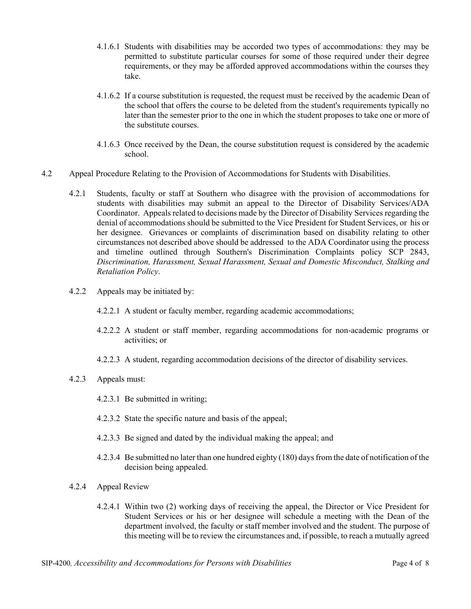- 4.1.6.1 Students with disabilities may be accorded two types of accommodations: they may be permitted to substitute particular courses for some of those required under their degree requirements, or they may be afforded approved accommodations within the courses they take.
- 4.1.6.2 If a course substitution is requested, the request must be received by the academic Dean of the school that offers the course to be deleted from the student's requirements typically no later than the semester prior to the one in which the student proposes to take one or more of the substitute courses.
- 4.1.6.3 Once received by the Dean, the course substitution request is considered by the academic school.
- 4.2 Appeal Procedure Relating to the Provision of Accommodations for Students with Disabilities.
	- 4.2.1 Students, faculty or staff at Southern who disagree with the provision of accommodations for students with disabilities may submit an appeal to the Director of Disability Services/ADA Coordinator. Appeals related to decisions made by the Director of Disability Services regarding the denial of accommodations should be submitted to the Vice President for Student Services, or his or her designee. Grievances or complaints of discrimination based on disability relating to other circumstances not described above should be addressed to the ADA Coordinator using the process and timeline outlined through Southern's Discrimination Complaints policy SCP 2843, *Discrimination, Harassment, Sexual Harassment, Sexual and Domestic Misconduct, Stalking and Retaliation Policy*.
	- 4.2.2 Appeals may be initiated by:
		- 4.2.2.1 A student or faculty member, regarding academic accommodations;
		- 4.2.2.2 A student or staff member, regarding accommodations for non-academic programs or activities; or
		- 4.2.2.3 A student, regarding accommodation decisions of the director of disability services.
	- 4.2.3 Appeals must:
		- 4.2.3.1 Be submitted in writing;
		- 4.2.3.2 State the specific nature and basis of the appeal;
		- 4.2.3.3 Be signed and dated by the individual making the appeal; and
		- 4.2.3.4 Be submitted no later than one hundred eighty (180) days from the date of notification of the decision being appealed.
	- 4.2.4 Appeal Review
		- 4.2.4.1 Within two (2) working days of receiving the appeal, the Director or Vice President for Student Services or his or her designee will schedule a meeting with the Dean of the department involved, the faculty or staff member involved and the student. The purpose of this meeting will be to review the circumstances and, if possible, to reach a mutually agreed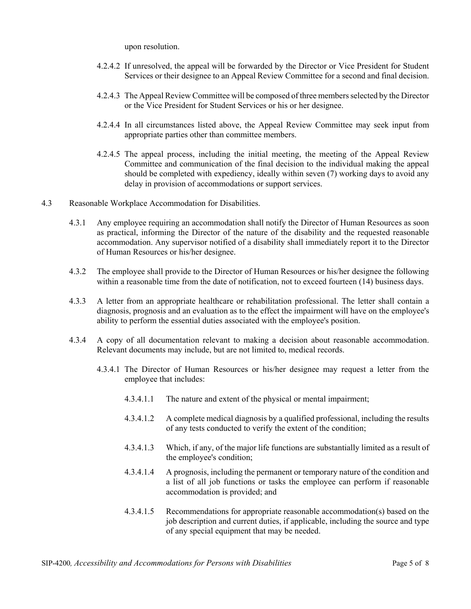upon resolution.

- 4.2.4.2 If unresolved, the appeal will be forwarded by the Director or Vice President for Student Services or their designee to an Appeal Review Committee for a second and final decision.
- 4.2.4.3 The Appeal Review Committee will be composed of three members selected by the Director or the Vice President for Student Services or his or her designee.
- 4.2.4.4 In all circumstances listed above, the Appeal Review Committee may seek input from appropriate parties other than committee members.
- 4.2.4.5 The appeal process, including the initial meeting, the meeting of the Appeal Review Committee and communication of the final decision to the individual making the appeal should be completed with expediency, ideally within seven (7) working days to avoid any delay in provision of accommodations or support services.
- 4.3 Reasonable Workplace Accommodation for Disabilities.
	- 4.3.1 Any employee requiring an accommodation shall notify the Director of Human Resources as soon as practical, informing the Director of the nature of the disability and the requested reasonable accommodation. Any supervisor notified of a disability shall immediately report it to the Director of Human Resources or his/her designee.
	- 4.3.2 The employee shall provide to the Director of Human Resources or his/her designee the following within a reasonable time from the date of notification, not to exceed fourteen (14) business days.
	- 4.3.3 A letter from an appropriate healthcare or rehabilitation professional. The letter shall contain a diagnosis, prognosis and an evaluation as to the effect the impairment will have on the employee's ability to perform the essential duties associated with the employee's position.
	- 4.3.4 A copy of all documentation relevant to making a decision about reasonable accommodation. Relevant documents may include, but are not limited to, medical records.
		- 4.3.4.1 The Director of Human Resources or his/her designee may request a letter from the employee that includes:
			- 4.3.4.1.1 The nature and extent of the physical or mental impairment;
			- 4.3.4.1.2 A complete medical diagnosis by a qualified professional, including the results of any tests conducted to verify the extent of the condition;
			- 4.3.4.1.3 Which, if any, of the major life functions are substantially limited as a result of the employee's condition;
			- 4.3.4.1.4 A prognosis, including the permanent or temporary nature of the condition and a list of all job functions or tasks the employee can perform if reasonable accommodation is provided; and
			- 4.3.4.1.5 Recommendations for appropriate reasonable accommodation(s) based on the job description and current duties, if applicable, including the source and type of any special equipment that may be needed.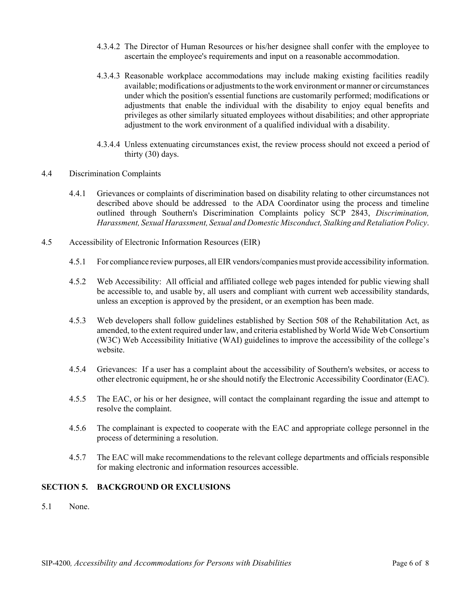- 4.3.4.2 The Director of Human Resources or his/her designee shall confer with the employee to ascertain the employee's requirements and input on a reasonable accommodation.
- 4.3.4.3 Reasonable workplace accommodations may include making existing facilities readily available; modifications or adjustments to the work environment or manner or circumstances under which the position's essential functions are customarily performed; modifications or adjustments that enable the individual with the disability to enjoy equal benefits and privileges as other similarly situated employees without disabilities; and other appropriate adjustment to the work environment of a qualified individual with a disability.
- 4.3.4.4 Unless extenuating circumstances exist, the review process should not exceed a period of thirty (30) days.
- 4.4 Discrimination Complaints
	- 4.4.1 Grievances or complaints of discrimination based on disability relating to other circumstances not described above should be addressed to the ADA Coordinator using the process and timeline outlined through Southern's Discrimination Complaints policy SCP 2843, *Discrimination, Harassment, Sexual Harassment, Sexual and Domestic Misconduct, Stalking and Retaliation Policy*.
- 4.5 Accessibility of Electronic Information Resources (EIR)
	- 4.5.1 For compliance review purposes, all EIR vendors/companies must provide accessibility information.
	- 4.5.2 Web Accessibility: All official and affiliated college web pages intended for public viewing shall be accessible to, and usable by, all users and compliant with current web accessibility standards, unless an exception is approved by the president, or an exemption has been made.
	- 4.5.3 Web developers shall follow guidelines established by Section 508 of the Rehabilitation Act, as amended, to the extent required under law, and criteria established by World Wide Web Consortium (W3C) Web Accessibility Initiative (WAI) guidelines to improve the accessibility of the college's website.
	- 4.5.4 Grievances: If a user has a complaint about the accessibility of Southern's websites, or access to other electronic equipment, he or she should notify the Electronic Accessibility Coordinator (EAC).
	- 4.5.5 The EAC, or his or her designee, will contact the complainant regarding the issue and attempt to resolve the complaint.
	- 4.5.6 The complainant is expected to cooperate with the EAC and appropriate college personnel in the process of determining a resolution.
	- 4.5.7 The EAC will make recommendations to the relevant college departments and officials responsible for making electronic and information resources accessible.

## **SECTION 5. BACKGROUND OR EXCLUSIONS**

5.1 None.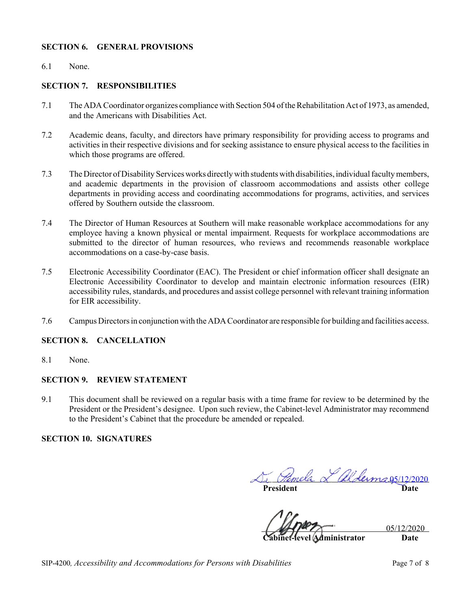## **SECTION 6. GENERAL PROVISIONS**

#### 6.1 None.

#### **SECTION 7. RESPONSIBILITIES**

- 7.1 The ADA Coordinator organizes compliance with Section 504 of the Rehabilitation Act of 1973, as amended, and the Americans with Disabilities Act.
- 7.2 Academic deans, faculty, and directors have primary responsibility for providing access to programs and activities in their respective divisions and for seeking assistance to ensure physical access to the facilities in which those programs are offered.
- 7.3 The Director of Disability Services works directly with students with disabilities, individual faculty members, and academic departments in the provision of classroom accommodations and assists other college departments in providing access and coordinating accommodations for programs, activities, and services offered by Southern outside the classroom.
- 7.4 The Director of Human Resources at Southern will make reasonable workplace accommodations for any employee having a known physical or mental impairment. Requests for workplace accommodations are submitted to the director of human resources, who reviews and recommends reasonable workplace accommodations on a case-by-case basis.
- 7.5 Electronic Accessibility Coordinator (EAC). The President or chief information officer shall designate an Electronic Accessibility Coordinator to develop and maintain electronic information resources (EIR) accessibility rules, standards, and procedures and assist college personnel with relevant training information for EIR accessibility.
- 7.6 Campus Directors in conjunction with the ADA Coordinator are responsible for building and facilities access.

## **SECTION 8. CANCELLATION**

8.1 None.

## **SECTION 9. REVIEW STATEMENT**

9.1 This document shall be reviewed on a regular basis with a time frame for review to be determined by the President or the President's designee. Upon such review, the Cabinet-level Administrator may recommend to the President's Cabinet that the procedure be amended or repealed.

## **SECTION 10. SIGNATURES**

**President Date** mela L alderma 05/12/2020

05/12/2020

**Cabinet-level Administrator Date**